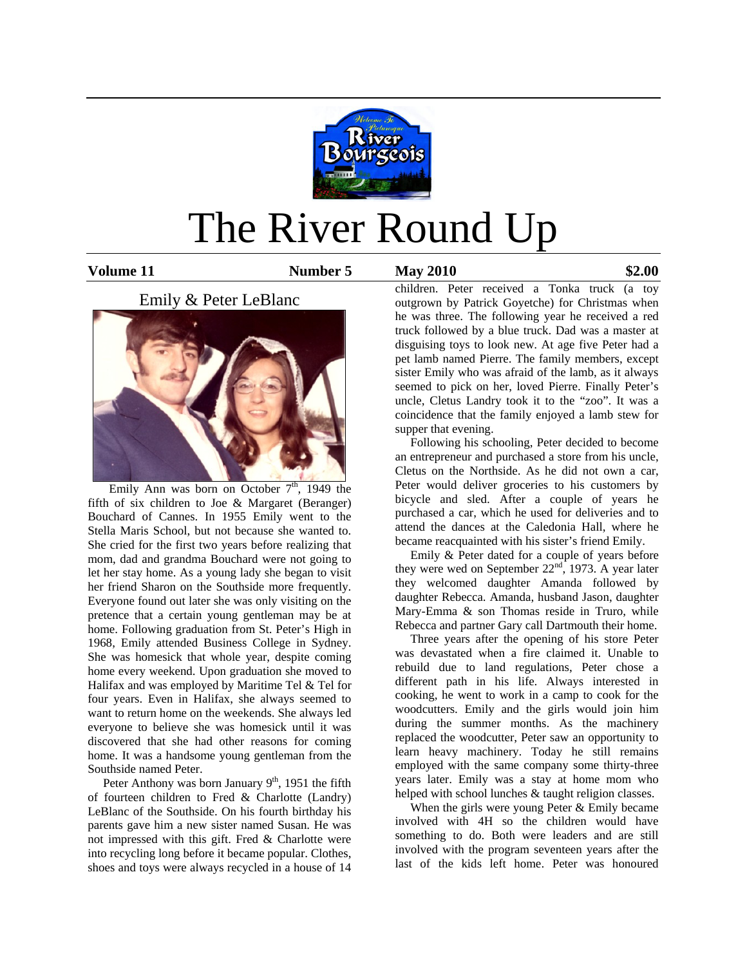

# The River Round Up

**Volume 11 Number 5 May 2010 \$2.00** 

# Emily & Peter LeBlanc



Emily Ann was born on October  $7<sup>th</sup>$ , 1949 the fifth of six children to Joe & Margaret (Beranger) Bouchard of Cannes. In 1955 Emily went to the Stella Maris School, but not because she wanted to. She cried for the first two years before realizing that mom, dad and grandma Bouchard were not going to let her stay home. As a young lady she began to visit her friend Sharon on the Southside more frequently. Everyone found out later she was only visiting on the pretence that a certain young gentleman may be at home. Following graduation from St. Peter's High in 1968, Emily attended Business College in Sydney. She was homesick that whole year, despite coming home every weekend. Upon graduation she moved to Halifax and was employed by Maritime Tel & Tel for four years. Even in Halifax, she always seemed to want to return home on the weekends. She always led everyone to believe she was homesick until it was discovered that she had other reasons for coming home. It was a handsome young gentleman from the Southside named Peter.

Peter Anthony was born January  $9<sup>th</sup>$ , 1951 the fifth of fourteen children to Fred & Charlotte (Landry) LeBlanc of the Southside. On his fourth birthday his parents gave him a new sister named Susan. He was not impressed with this gift. Fred & Charlotte were into recycling long before it became popular. Clothes, shoes and toys were always recycled in a house of 14

children. Peter received a Tonka truck (a toy outgrown by Patrick Goyetche) for Christmas when he was three. The following year he received a red truck followed by a blue truck. Dad was a master at disguising toys to look new. At age five Peter had a pet lamb named Pierre. The family members, except sister Emily who was afraid of the lamb, as it always seemed to pick on her, loved Pierre. Finally Peter's uncle, Cletus Landry took it to the "zoo". It was a coincidence that the family enjoyed a lamb stew for supper that evening.

 Following his schooling, Peter decided to become an entrepreneur and purchased a store from his uncle, Cletus on the Northside. As he did not own a car, Peter would deliver groceries to his customers by bicycle and sled. After a couple of years he purchased a car, which he used for deliveries and to attend the dances at the Caledonia Hall, where he became reacquainted with his sister's friend Emily.

 Emily & Peter dated for a couple of years before they were wed on September  $22<sup>nd</sup>$ , 1973. A year later they welcomed daughter Amanda followed by daughter Rebecca. Amanda, husband Jason, daughter Mary-Emma & son Thomas reside in Truro, while Rebecca and partner Gary call Dartmouth their home.

 Three years after the opening of his store Peter was devastated when a fire claimed it. Unable to rebuild due to land regulations, Peter chose a different path in his life. Always interested in cooking, he went to work in a camp to cook for the woodcutters. Emily and the girls would join him during the summer months. As the machinery replaced the woodcutter, Peter saw an opportunity to learn heavy machinery. Today he still remains employed with the same company some thirty-three years later. Emily was a stay at home mom who helped with school lunches & taught religion classes.

When the girls were young Peter & Emily became involved with 4H so the children would have something to do. Both were leaders and are still involved with the program seventeen years after the last of the kids left home. Peter was honoured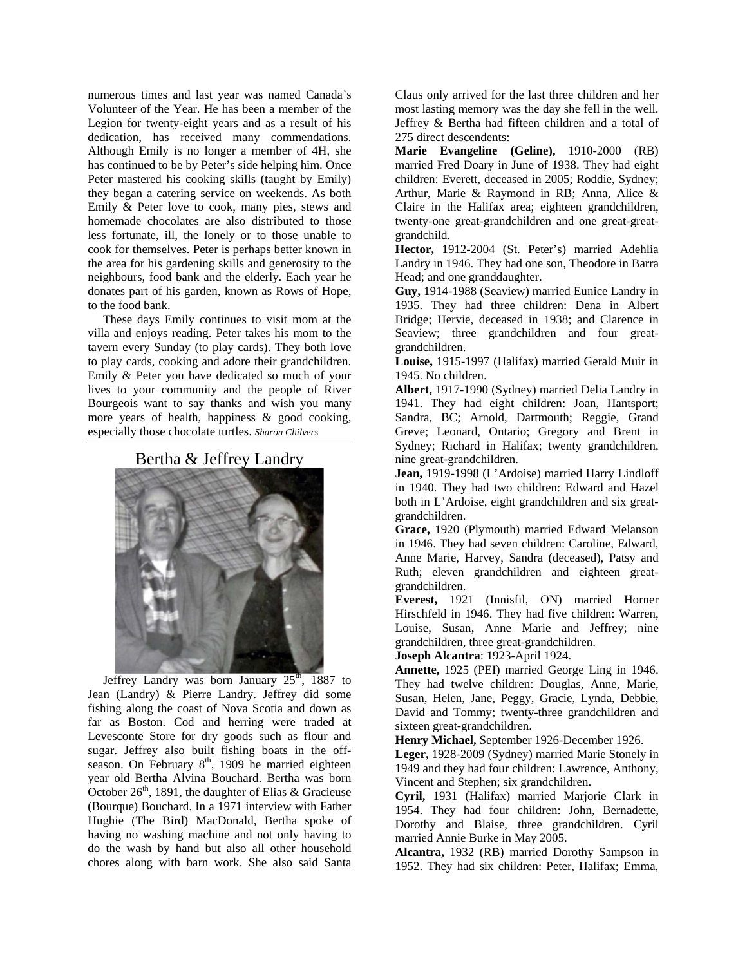numerous times and last year was named Canada's Volunteer of the Year. He has been a member of the Legion for twenty-eight years and as a result of his dedication, has received many commendations. Although Emily is no longer a member of 4H, she has continued to be by Peter's side helping him. Once Peter mastered his cooking skills (taught by Emily) they began a catering service on weekends. As both Emily & Peter love to cook, many pies, stews and homemade chocolates are also distributed to those less fortunate, ill, the lonely or to those unable to cook for themselves. Peter is perhaps better known in the area for his gardening skills and generosity to the neighbours, food bank and the elderly. Each year he donates part of his garden, known as Rows of Hope, to the food bank.

 These days Emily continues to visit mom at the villa and enjoys reading. Peter takes his mom to the tavern every Sunday (to play cards). They both love to play cards, cooking and adore their grandchildren. Emily & Peter you have dedicated so much of your lives to your community and the people of River Bourgeois want to say thanks and wish you many more years of health, happiness & good cooking, especially those chocolate turtles. *Sharon Chilvers* 

### Bertha & Jeffrey Landry



Jeffrey Landry was born January  $25<sup>th</sup>$ , 1887 to Jean (Landry) & Pierre Landry. Jeffrey did some fishing along the coast of Nova Scotia and down as far as Boston. Cod and herring were traded at Levesconte Store for dry goods such as flour and sugar. Jeffrey also built fishing boats in the offseason. On February 8<sup>th</sup>, 1909 he married eighteen year old Bertha Alvina Bouchard. Bertha was born October  $26<sup>th</sup>$ , 1891, the daughter of Elias & Gracieuse (Bourque) Bouchard. In a 1971 interview with Father Hughie (The Bird) MacDonald, Bertha spoke of having no washing machine and not only having to do the wash by hand but also all other household chores along with barn work. She also said Santa

Claus only arrived for the last three children and her most lasting memory was the day she fell in the well. Jeffrey & Bertha had fifteen children and a total of 275 direct descendents:

**Marie Evangeline (Geline),** 1910-2000 (RB) married Fred Doary in June of 1938. They had eight children: Everett, deceased in 2005; Roddie, Sydney; Arthur, Marie & Raymond in RB; Anna, Alice & Claire in the Halifax area; eighteen grandchildren, twenty-one great-grandchildren and one great-greatgrandchild.

**Hector,** 1912-2004 (St. Peter's) married Adehlia Landry in 1946. They had one son, Theodore in Barra Head; and one granddaughter.

**Guy,** 1914-1988 (Seaview) married Eunice Landry in 1935. They had three children: Dena in Albert Bridge; Hervie, deceased in 1938; and Clarence in Seaview; three grandchildren and four greatgrandchildren.

**Louise,** 1915-1997 (Halifax) married Gerald Muir in 1945. No children.

**Albert,** 1917-1990 (Sydney) married Delia Landry in 1941. They had eight children: Joan, Hantsport; Sandra, BC; Arnold, Dartmouth; Reggie, Grand Greve; Leonard, Ontario; Gregory and Brent in Sydney; Richard in Halifax; twenty grandchildren, nine great-grandchildren.

**Jean,** 1919-1998 (L'Ardoise) married Harry Lindloff in 1940. They had two children: Edward and Hazel both in L'Ardoise, eight grandchildren and six greatgrandchildren.

**Grace,** 1920 (Plymouth) married Edward Melanson in 1946. They had seven children: Caroline, Edward, Anne Marie, Harvey, Sandra (deceased), Patsy and Ruth; eleven grandchildren and eighteen greatgrandchildren.

**Everest,** 1921 (Innisfil, ON) married Horner Hirschfeld in 1946. They had five children: Warren, Louise, Susan, Anne Marie and Jeffrey; nine grandchildren, three great-grandchildren.

**Joseph Alcantra**: 1923-April 1924.

**Annette,** 1925 (PEI) married George Ling in 1946. They had twelve children: Douglas, Anne, Marie, Susan, Helen, Jane, Peggy, Gracie, Lynda, Debbie, David and Tommy; twenty-three grandchildren and sixteen great-grandchildren.

**Henry Michael,** September 1926-December 1926.

**Leger,** 1928-2009 (Sydney) married Marie Stonely in 1949 and they had four children: Lawrence, Anthony, Vincent and Stephen; six grandchildren.

**Cyril,** 1931 (Halifax) married Marjorie Clark in 1954. They had four children: John, Bernadette, Dorothy and Blaise, three grandchildren. Cyril married Annie Burke in May 2005.

**Alcantra,** 1932 (RB) married Dorothy Sampson in 1952. They had six children: Peter, Halifax; Emma,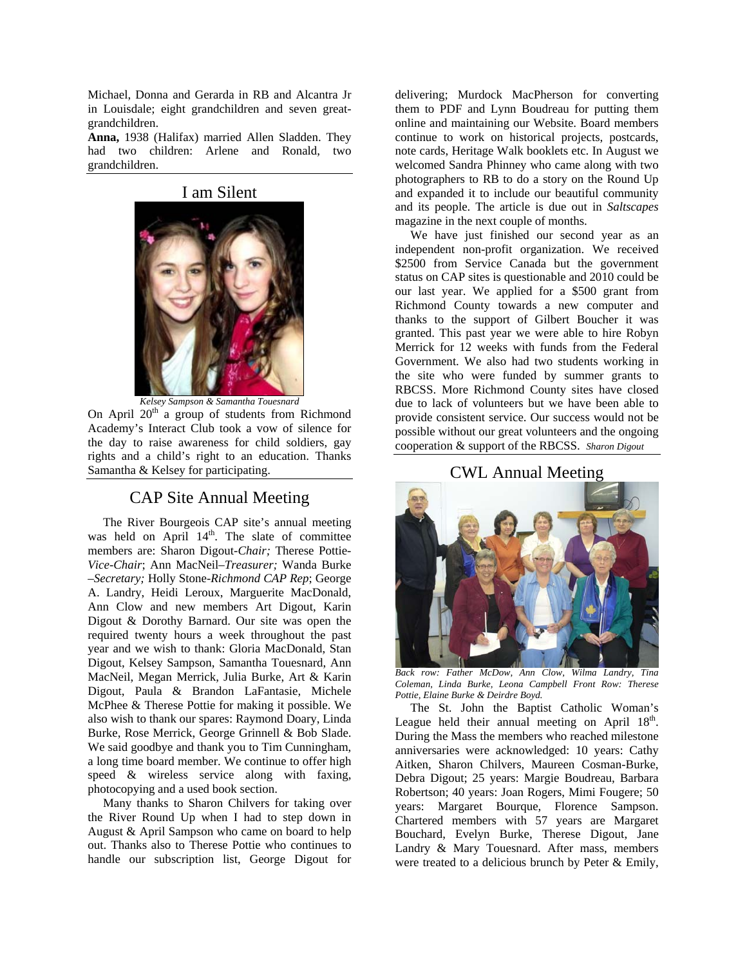Michael, Donna and Gerarda in RB and Alcantra Jr in Louisdale; eight grandchildren and seven greatgrandchildren.

**Anna,** 1938 (Halifax) married Allen Sladden. They had two children: Arlene and Ronald, two grandchildren.

#### I am Silent



*Kelsey Sampson & Samantha Touesnard* 

On April  $20<sup>th</sup>$  a group of students from Richmond Academy's Interact Club took a vow of silence for the day to raise awareness for child soldiers, gay rights and a child's right to an education. Thanks Samantha & Kelsey for participating.

## CAP Site Annual Meeting

 The River Bourgeois CAP site's annual meeting was held on April 14<sup>th</sup>. The slate of committee members are: Sharon Digout-*Chair;* Therese Pottie*-Vice-Chair*; Ann MacNeil–*Treasurer;* Wanda Burke –*Secretary;* Holly Stone-*Richmond CAP Rep*; George A. Landry, Heidi Leroux, Marguerite MacDonald, Ann Clow and new members Art Digout, Karin Digout & Dorothy Barnard. Our site was open the required twenty hours a week throughout the past year and we wish to thank: Gloria MacDonald, Stan Digout, Kelsey Sampson, Samantha Touesnard, Ann MacNeil, Megan Merrick, Julia Burke, Art & Karin Digout, Paula & Brandon LaFantasie, Michele McPhee & Therese Pottie for making it possible. We also wish to thank our spares: Raymond Doary, Linda Burke, Rose Merrick, George Grinnell & Bob Slade. We said goodbye and thank you to Tim Cunningham, a long time board member. We continue to offer high speed & wireless service along with faxing, photocopying and a used book section.

 Many thanks to Sharon Chilvers for taking over the River Round Up when I had to step down in August & April Sampson who came on board to help out. Thanks also to Therese Pottie who continues to handle our subscription list, George Digout for delivering; Murdock MacPherson for converting them to PDF and Lynn Boudreau for putting them online and maintaining our Website. Board members continue to work on historical projects, postcards, note cards, Heritage Walk booklets etc. In August we welcomed Sandra Phinney who came along with two photographers to RB to do a story on the Round Up and expanded it to include our beautiful community and its people. The article is due out in *Saltscapes*  magazine in the next couple of months.

 We have just finished our second year as an independent non-profit organization. We received \$2500 from Service Canada but the government status on CAP sites is questionable and 2010 could be our last year. We applied for a \$500 grant from Richmond County towards a new computer and thanks to the support of Gilbert Boucher it was granted. This past year we were able to hire Robyn Merrick for 12 weeks with funds from the Federal Government. We also had two students working in the site who were funded by summer grants to RBCSS. More Richmond County sites have closed due to lack of volunteers but we have been able to provide consistent service. Our success would not be possible without our great volunteers and the ongoing cooperation & support of the RBCSS. *Sharon Digout*

### CWL Annual Meeting



*Back row: Father McDow, Ann Clow, Wilma Landry, Tina Coleman, Linda Burke, Leona Campbell Front Row: Therese Pottie, Elaine Burke & Deirdre Boyd.* 

 The St. John the Baptist Catholic Woman's League held their annual meeting on April  $18<sup>th</sup>$ . During the Mass the members who reached milestone anniversaries were acknowledged: 10 years: Cathy Aitken, Sharon Chilvers, Maureen Cosman-Burke, Debra Digout; 25 years: Margie Boudreau, Barbara Robertson; 40 years: Joan Rogers, Mimi Fougere; 50 years: Margaret Bourque, Florence Sampson. Chartered members with 57 years are Margaret Bouchard, Evelyn Burke, Therese Digout, Jane Landry & Mary Touesnard. After mass, members were treated to a delicious brunch by Peter & Emily,